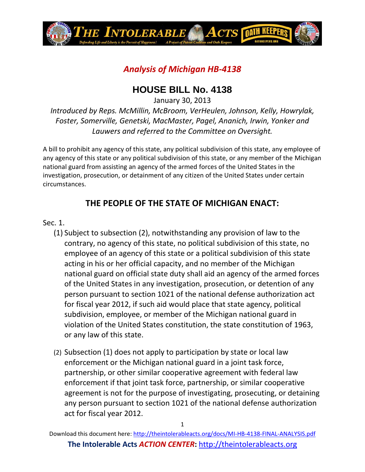

# *Analysis of Michigan HB-4138*

# **HOUSE BILL No. 4138**

January 30, 2013

*Introduced by Reps. McMillin, McBroom, VerHeulen, Johnson, Kelly, Howrylak, Foster, Somerville, Genetski, MacMaster, Pagel, Ananich, Irwin, Yonker and Lauwers and referred to the Committee on Oversight.*

A bill to prohibit any agency of this state, any political subdivision of this state, any employee of any agency of this state or any political subdivision of this state, or any member of the Michigan national guard from assisting an agency of the armed forces of the United States in the investigation, prosecution, or detainment of any citizen of the United States under certain circumstances.

### **THE PEOPLE OF THE STATE OF MICHIGAN ENACT:**

#### Sec. 1.

- (1) Subject to subsection (2), notwithstanding any provision of law to the contrary, no agency of this state, no political subdivision of this state, no employee of an agency of this state or a political subdivision of this state acting in his or her official capacity, and no member of the Michigan national guard on official state duty shall aid an agency of the armed forces of the United States in any investigation, prosecution, or detention of any person pursuant to section 1021 of the national defense authorization act for fiscal year 2012, if such aid would place that state agency, political subdivision, employee, or member of the Michigan national guard in violation of the United States constitution, the state constitution of 1963, or any law of this state.
- (2) Subsection (1) does not apply to participation by state or local law enforcement or the Michigan national guard in a joint task force, partnership, or other similar cooperative agreement with federal law enforcement if that joint task force, partnership, or similar cooperative agreement is not for the purpose of investigating, prosecuting, or detaining any person pursuant to section 1021 of the national defense authorization act for fiscal year 2012.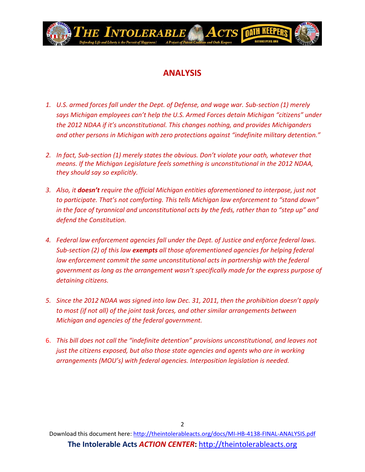

## **ANALYSIS**

- *1. U.S. armed forces fall under the Dept. of Defense, and wage war. Sub-section (1) merely says Michigan employees can't help the U.S. Armed Forces detain Michigan "citizens" under the 2012 NDAA if it's unconstitutional. This changes nothing, and provides Michiganders and other persons in Michigan with zero protections against "indefinite military detention."*
- *2. In fact, Sub-section (1) merely states the obvious. Don't violate your oath, whatever that means. If the Michigan Legislature feels something is unconstitutional in the 2012 NDAA, they should say so explicitly.*
- *3. Also, it doesn't require the official Michigan entities aforementioned to interpose, just not to participate. That's not comforting. This tells Michigan law enforcement to "stand down" in the face of tyrannical and unconstitutional acts by the feds, rather than to "step up" and defend the Constitution.*
- *4. Federal law enforcement agencies fall under the Dept. of Justice and enforce federal laws. Sub-section (2) of this law exempts all those aforementioned agencies for helping federal law enforcement commit the same unconstitutional acts in partnership with the federal government as long as the arrangement wasn't specifically made for the express purpose of detaining citizens.*
- *5. Since the 2012 NDAA was signed into law Dec. 31, 2011, then the prohibition doesn't apply to most (if not all) of the joint task forces, and other similar arrangements between Michigan and agencies of the federal government.*
- 6. *This bill does not call the "indefinite detention" provisions unconstitutional, and leaves not just the citizens exposed, but also those state agencies and agents who are in working arrangements (MOU's) with federal agencies. Interposition legislation is needed.*